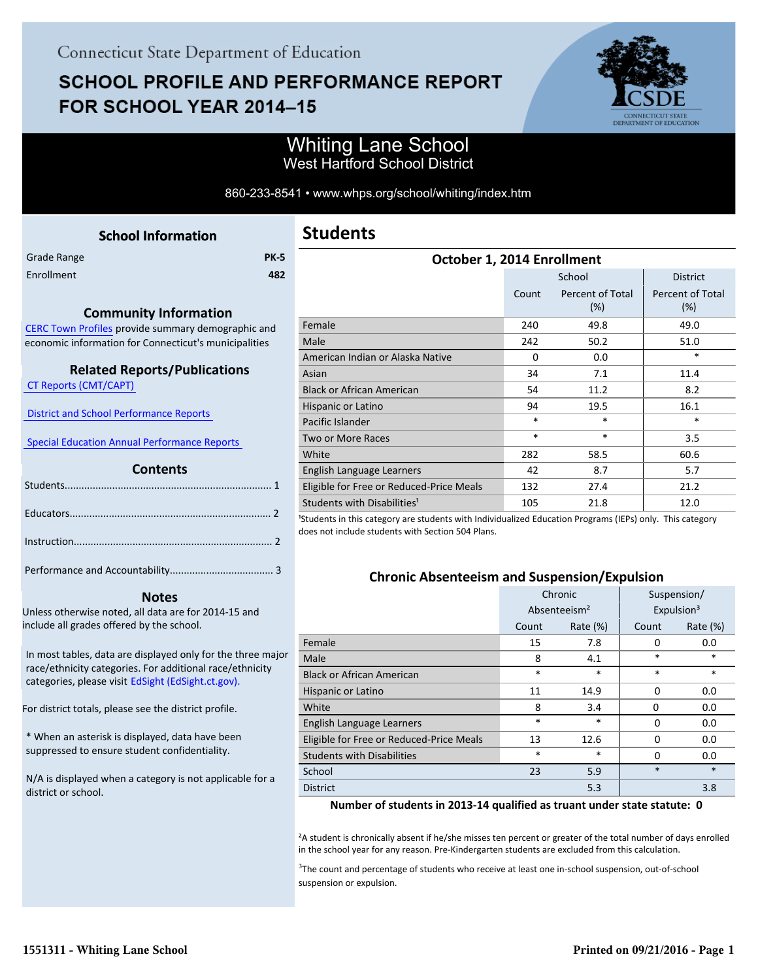# **SCHOOL PROFILE AND PERFORMANCE REPORT** FOR SCHOOL YEAR 2014-15



## Whiting Lane School West Hartford School District

860-233-8541 • www.whps.org/school/whiting/index.htm

<span id="page-0-0"></span>

|             | <b>School Information</b> |             |
|-------------|---------------------------|-------------|
| Grade Range |                           | <b>PK-5</b> |
| Enrollment  |                           | 482         |
|             |                           |             |

#### **Community Information**

[CERC Town Profiles provide summary demographic and](http://www.cerc.com/townprofiles/) economic information for Connecticut's municipalities

#### **Related Reports/Publications**

 [CT Reports \(CMT/CAPT\)](http://ctreports.com/) 

 [District and School Performance Reports](http://www.csde.state.ct.us/public/performancereports/reports.asp) 

 [Special Education Annual Performance Reports](http://edsight.ct.gov/SASPortal/main.do) 

#### **Contents**

 **Notes**

Unless otherwise noted, all data are for 2014-15 and include all grades offered by the school.

[In most tables, data are displayed only for the three major](http://edsight.ct.gov) race/ethnicity categories. For additional race/ethnicity categories, please visit EdSight (EdSight.ct.gov).

For district totals, please see the district profile.

\* When an asterisk is displayed, data have been suppressed to ensure student confidentiality.

N/A is displayed when a category is not applicable for a district or school.

| October 1, 2014 Enrollment               |        |                            |                                |  |  |
|------------------------------------------|--------|----------------------------|--------------------------------|--|--|
|                                          |        | School                     | <b>District</b>                |  |  |
|                                          | Count  | Percent of Total<br>$(\%)$ | <b>Percent of Total</b><br>(%) |  |  |
| Female                                   | 240    | 49.8                       | 49.0                           |  |  |
| Male                                     | 242    | 50.2                       | 51.0                           |  |  |
| American Indian or Alaska Native         | 0      | 0.0                        | $\ast$                         |  |  |
| Asian                                    | 34     | 7.1                        | 11.4                           |  |  |
| <b>Black or African American</b>         | 54     | 11.2                       | 8.2                            |  |  |
| Hispanic or Latino                       | 94     | 19.5                       | 16.1                           |  |  |
| Pacific Islander                         | $\ast$ | $\ast$                     | $\ast$                         |  |  |
| Two or More Races                        | $\ast$ | $\ast$                     | 3.5                            |  |  |
| White                                    | 282    | 58.5                       | 60.6                           |  |  |
| English Language Learners                | 42     | 8.7                        | 5.7                            |  |  |
| Eligible for Free or Reduced-Price Meals | 132    | 27.4                       | 21.2                           |  |  |
| Students with Disabilities <sup>1</sup>  | 105    | 21.8                       | 12.0                           |  |  |

<sup>1</sup>Students in this category are students with Individualized Education Programs (IEPs) only. This category does not include students with Section 504 Plans.

#### **Chronic Absenteeism and Suspension/Expulsion**

|                                          | Chronic                  |             | Suspension/ |                        |
|------------------------------------------|--------------------------|-------------|-------------|------------------------|
|                                          | Absenteeism <sup>2</sup> |             |             | Expulsion <sup>3</sup> |
|                                          | Count                    | Rate $(\%)$ | Count       | Rate $(\%)$            |
| Female                                   | 15                       | 7.8         | $\Omega$    | 0.0                    |
| Male                                     | 8                        | 4.1         | *           | $\ast$                 |
| <b>Black or African American</b>         | $\ast$                   | *           | $\ast$      | $\ast$                 |
| Hispanic or Latino                       | 11                       | 14.9        | $\Omega$    | 0.0                    |
| White                                    | 8                        | 3.4         | 0           | 0.0                    |
| English Language Learners                | *                        | $\ast$      | $\Omega$    | 0.0                    |
| Eligible for Free or Reduced-Price Meals | 13                       | 12.6        | $\Omega$    | 0.0                    |
| <b>Students with Disabilities</b>        | $\ast$                   | $\ast$      | $\Omega$    | 0.0                    |
| School                                   | 23                       | 5.9         | $\ast$      | $\ast$                 |
| <b>District</b>                          |                          | 5.3         |             | 3.8                    |

#### **Number of students in 2013-14 qualified as truant under state statute: 0**

²A student is chronically absent if he/she misses ten percent or greater of the total number of days enrolled in the school year for any reason. Pre-Kindergarten students are excluded from this calculation.

<sup>3</sup>The count and percentage of students who receive at least one in-school suspension, out-of-school suspension or expulsion.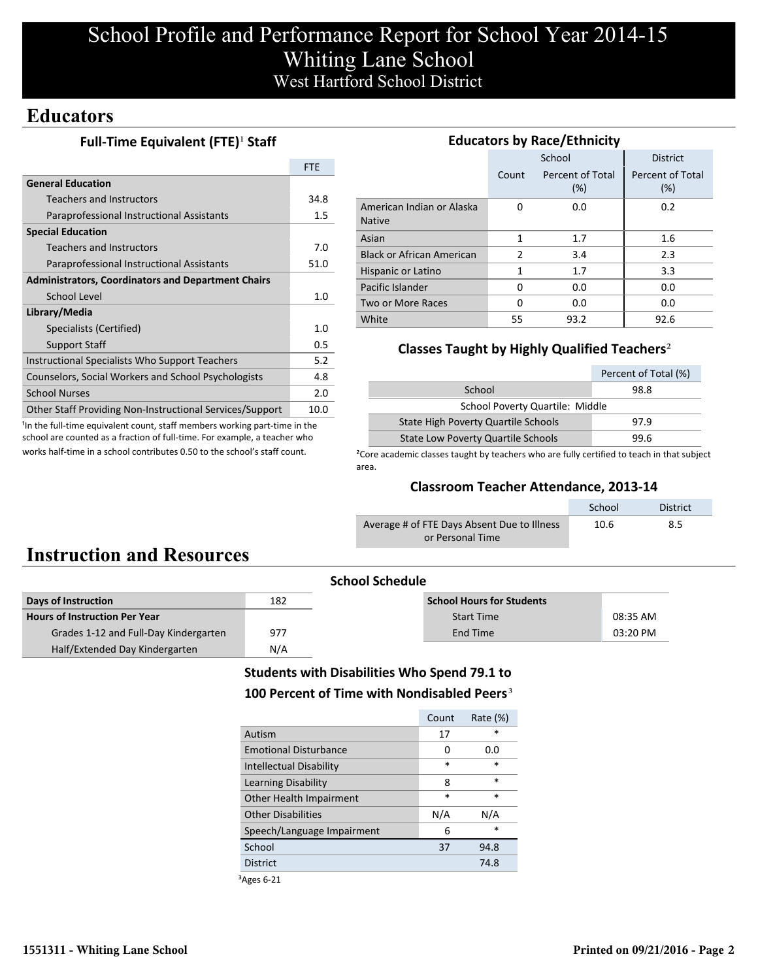# School Profile and Performance Report for School Year 2014-15 Whiting Lane School West Hartford School District

## **Educators**

### **Full-Time Equivalent (FTE)<sup>1</sup> Staff**

|                                                           | <b>FTF</b> |
|-----------------------------------------------------------|------------|
| <b>General Education</b>                                  |            |
| <b>Teachers and Instructors</b>                           | 34.8       |
| Paraprofessional Instructional Assistants                 | $1.5\,$    |
| <b>Special Education</b>                                  |            |
| <b>Teachers and Instructors</b>                           | 7.0        |
| Paraprofessional Instructional Assistants                 | 51.0       |
| <b>Administrators, Coordinators and Department Chairs</b> |            |
| School Level                                              | 1.0        |
| Library/Media                                             |            |
| Specialists (Certified)                                   | 1.0        |
| <b>Support Staff</b>                                      | 0.5        |
| Instructional Specialists Who Support Teachers            | 5.2        |
| Counselors, Social Workers and School Psychologists       | 4.8        |
| <b>School Nurses</b>                                      | 2.0        |
| Other Staff Providing Non-Instructional Services/Support  | 10.0       |

<sup>1</sup>In the full-time equivalent count, staff members working part-time in the school are counted as a fraction of full-time. For example, a teacher who works half-time in a school contributes 0.50 to the school's staff count.

| <b>Educators by Race/Ethnicity</b>         |       |                         |                         |  |  |  |
|--------------------------------------------|-------|-------------------------|-------------------------|--|--|--|
|                                            |       | School                  | <b>District</b>         |  |  |  |
|                                            | Count | Percent of Total<br>(%) | Percent of Total<br>(%) |  |  |  |
| American Indian or Alaska<br><b>Native</b> | O     | 0.0                     | 0.2                     |  |  |  |
| Asian                                      | 1     | 1.7                     | 1.6                     |  |  |  |
| <b>Black or African American</b>           | 2     | 3.4                     | 2.3                     |  |  |  |
| Hispanic or Latino                         | 1     | 1.7                     | 3.3                     |  |  |  |
| Pacific Islander                           | O     | 0.0                     | 0.0                     |  |  |  |
| Two or More Races                          | O     | 0.0                     | 0.0                     |  |  |  |
| White                                      | 55    | 93.2                    | 92.6                    |  |  |  |

### **Classes Taught by Highly Qualified Teachers**²

|                                           | Percent of Total (%) |  |  |  |
|-------------------------------------------|----------------------|--|--|--|
| School                                    | 98.8                 |  |  |  |
| School Poverty Quartile: Middle           |                      |  |  |  |
| State High Poverty Quartile Schools       | 97.9                 |  |  |  |
| <b>State Low Poverty Quartile Schools</b> | 99.6                 |  |  |  |

<sup>2</sup>Core academic classes taught by teachers who are fully certified to teach in that subject area.

### **Classroom Teacher Attendance, 2013-14**

|                                             | School | <b>District</b> |
|---------------------------------------------|--------|-----------------|
| Average # of FTE Days Absent Due to Illness | 10.6   | 8.5             |
| or Personal Time                            |        |                 |

# **Instruction and Resources**

| <b>School Schedule</b>                |     |                                  |            |  |
|---------------------------------------|-----|----------------------------------|------------|--|
| Days of Instruction                   | 182 | <b>School Hours for Students</b> |            |  |
| <b>Hours of Instruction Per Year</b>  |     | <b>Start Time</b>                | 08:35 AM   |  |
| Grades 1-12 and Full-Day Kindergarten | 977 | End Time                         | $03:20$ PM |  |
| Half/Extended Day Kindergarten        | N/A |                                  |            |  |

### **Students with Disabilities Who Spend 79.1 to** 100 Percent of Time with Nondisabled Peers<sup>3</sup>

|                                | Count  | Rate $(\%)$ |
|--------------------------------|--------|-------------|
| Autism                         | 17     | $\star$     |
| <b>Emotional Disturbance</b>   | 0      | 0.O         |
| <b>Intellectual Disability</b> | $\ast$ | *           |
| Learning Disability            | 8      | $\ast$      |
| Other Health Impairment        | $\ast$ | $\ast$      |
| <b>Other Disabilities</b>      | N/A    | N/A         |
| Speech/Language Impairment     | 6      | *           |
| School                         | 37     | 94.8        |
| <b>District</b>                |        | 74.8        |

³Ages 6-21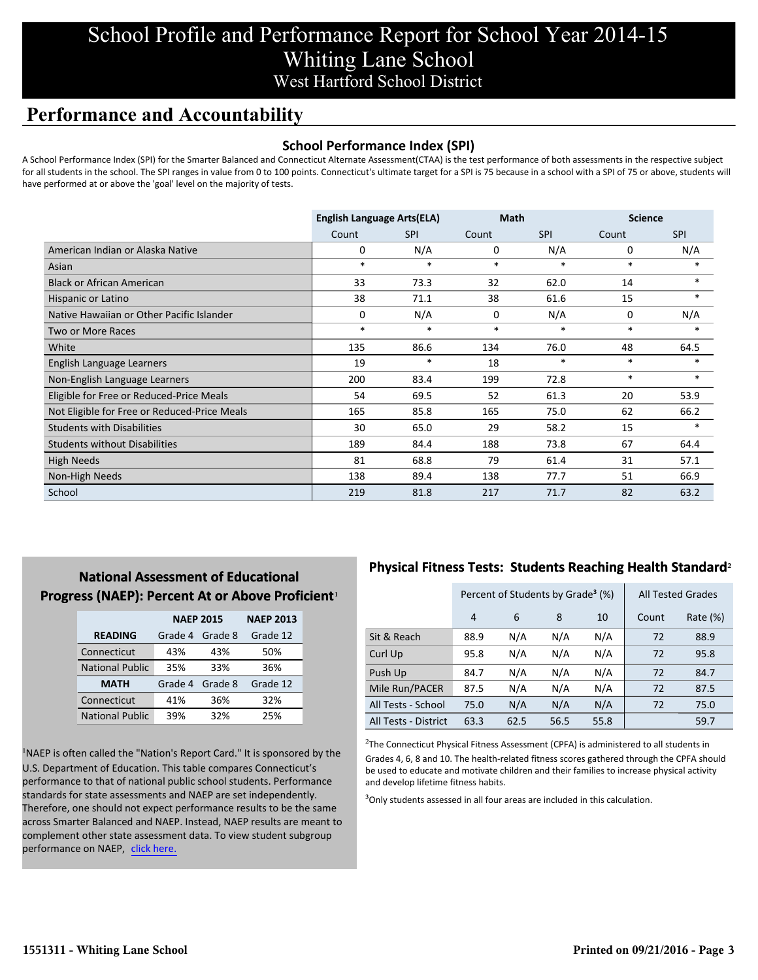## School Profile and Performance Report for School Year 2014-15 Whiting Lane School West Hartford School District

## **Performance and Accountability**

### **School Performance Index (SPI)**

A School Performance Index (SPI) for the Smarter Balanced and Connecticut Alternate Assessment(CTAA) is the test performance of both assessments in the respective subject for all students in the school. The SPI ranges in value from 0 to 100 points. Connecticut's ultimate target for a SPI is 75 because in a school with a SPI of 75 or above, students will have performed at or above the 'goal' level on the majority of tests.

|                                              | <b>English Language Arts(ELA)</b> |            | <b>Math</b> |            | <b>Science</b> |            |
|----------------------------------------------|-----------------------------------|------------|-------------|------------|----------------|------------|
|                                              | Count                             | <b>SPI</b> | Count       | <b>SPI</b> | Count          | <b>SPI</b> |
| American Indian or Alaska Native             | 0                                 | N/A        | 0           | N/A        | 0              | N/A        |
| Asian                                        | $\ast$                            | $\ast$     | $\ast$      | $\ast$     | $\ast$         | $\ast$     |
| <b>Black or African American</b>             | 33                                | 73.3       | 32          | 62.0       | 14             | $*$        |
| Hispanic or Latino                           | 38                                | 71.1       | 38          | 61.6       | 15             | $\ast$     |
| Native Hawaiian or Other Pacific Islander    | 0                                 | N/A        | 0           | N/A        | 0              | N/A        |
| Two or More Races                            | $\ast$                            | $\ast$     | $\ast$      | $\ast$     | $\ast$         | $\ast$     |
| White                                        | 135                               | 86.6       | 134         | 76.0       | 48             | 64.5       |
| English Language Learners                    | 19                                | $\ast$     | 18          | $\ast$     | $*$            | $*$        |
| Non-English Language Learners                | 200                               | 83.4       | 199         | 72.8       | $\ast$         | $\ast$     |
| Eligible for Free or Reduced-Price Meals     | 54                                | 69.5       | 52          | 61.3       | 20             | 53.9       |
| Not Eligible for Free or Reduced-Price Meals | 165                               | 85.8       | 165         | 75.0       | 62             | 66.2       |
| <b>Students with Disabilities</b>            | 30                                | 65.0       | 29          | 58.2       | 15             |            |
| <b>Students without Disabilities</b>         | 189                               | 84.4       | 188         | 73.8       | 67             | 64.4       |
| <b>High Needs</b>                            | 81                                | 68.8       | 79          | 61.4       | 31             | 57.1       |
| Non-High Needs                               | 138                               | 89.4       | 138         | 77.7       | 51             | 66.9       |
| School                                       | 219                               | 81.8       | 217         | 71.7       | 82             | 63.2       |

## **National Assessment of Educational Progress (NAEP): Percent At or Above Proficient1**

|                        | <b>NAEP 2015</b> | <b>NAEP 2013</b> |          |
|------------------------|------------------|------------------|----------|
| <b>READING</b>         | Grade 4          | Grade 8          | Grade 12 |
| Connecticut            | 43%              | 43%              | 50%      |
| <b>National Public</b> | 35%              | 33%              | 36%      |
| <b>MATH</b>            | Grade 4          | Grade 8          | Grade 12 |
| Connecticut            | 41%              | 36%              | 32%      |
| <b>National Public</b> | 39%              | 32%              | 25%      |

<sup>1</sup>NAEP is often called the "Nation's Report Card." It is sponsored by the U.S. Department of Education. This table compares Connecticut's performance to that of national public school students. Performance standards for state assessments and NAEP are set independently. Therefore, one should not expect performance results to be the same across Smarter Balanced and NAEP. Instead, NAEP results are meant to complement other state assessment data. To view student subgroup performance on NAEP, click here.

### **Physical Fitness Tests: Students Reaching Health Standard**²

|                      | Percent of Students by Grade <sup>3</sup> (%) |      |      |      |       | <b>All Tested Grades</b> |
|----------------------|-----------------------------------------------|------|------|------|-------|--------------------------|
|                      | 4                                             | 6    | 8    | 10   | Count | Rate (%)                 |
| Sit & Reach          | 88.9                                          | N/A  | N/A  | N/A  | 72    | 88.9                     |
| Curl Up              | 95.8                                          | N/A  | N/A  | N/A  | 72    | 95.8                     |
| Push Up              | 84.7                                          | N/A  | N/A  | N/A  | 72    | 84.7                     |
| Mile Run/PACER       | 87.5                                          | N/A  | N/A  | N/A  | 72    | 87.5                     |
| All Tests - School   | 75.0                                          | N/A  | N/A  | N/A  | 72    | 75.0                     |
| All Tests - District | 63.3                                          | 62.5 | 56.5 | 55.8 |       | 59.7                     |

 $2$ The Connecticut Physical Fitness Assessment (CPFA) is administered to all students in Grades 4, 6, 8 and 10. The health-related fitness scores gathered through the CPFA should be used to educate and motivate children and their families to increase physical activity and develop lifetime fitness habits.

<sup>3</sup>Only students assessed in all four areas are included in this calculation.